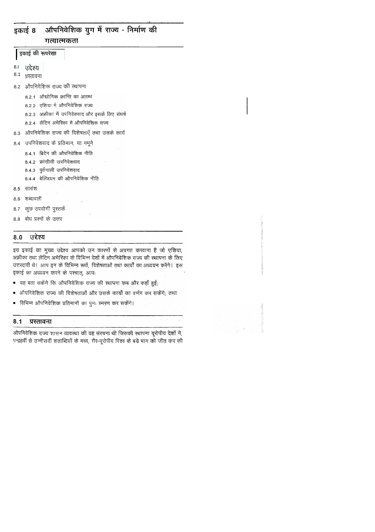### ़ओपनिवेशिक युग में राज्य - निर्माण की इकाई 8 गत्यात्मकता

इकाई की रूपरेखा

उद्देश्य  $8($ 

 $8.1$ प्रस्तावना

8.2 औपनिवेशिक राज्य की स्थापना

8.2.1 औद्योगिक क्रान्ति का आरम्भ

8.2.2 एशिया में औपनिवेशिक राज्य

8.2.3 अफ्रीका में उपनिवेशवाद और इसके लिए संघर्ष

8.2.4 लैटिन अमेरिका में औपनिवेशिक राज्य

औपनिवेशिक राज्य की विशेषताएँ तथा उसके कार्य 8.3

8.4 उपनिवेशवाद के प्रतिमान, या नमूने

8.4.1 ब्रिटेन की औपनिवेशिक नीति

8.4.2 फ्रांसीसी उपनिवेशवाद

8.4.3 पुर्तगाली उपनिवेशवाद

8.4.4 बेल्जियम की ओपनिवेशिक नीति

8.5 सारांश

8.6 शब्दावली

कुछ उपयोगी पुस्तकें 8.7

8.8 बोध प्रश्नों के उत्तर

#### उद्देश्य 8.0

इस इकाई का मुख्य उद्देश्य आपको उन कारणों से अवगत करवाना है जो एशिया, अफ्रीका तथा लैटिन अमेरिका के विभिन्न देशों में औपनिवेशिक राज्य की स्थापना के लिए उत्तरदायी थे। आप इन के विभिन्न रूपों, विशेषताओं तथा कार्यों का अध्ययन करेंगे। इस इकाई का अध्ययन करने के पश्चात्, आपः

- यह बता सकेंगे कि ओपनिवेशिक राज्य की स्थापना कब और कहाँ हुई;
- औपनिवेशिक राज्य की विशेषताओं और उसके कार्यों का वर्णन कर सकेंगे; तथा
- विभिन्न औपनिवेशिक प्रतिमानों का पुनः रमरण कर सकेंगे।

#### प्रस्तावना  $8.1$

औपनिवेशिक राज्य शासन व्यवस्था की वह संरचना थी जिसकी स्थापना यूरोपीय देशों ने, पन्द्रहवीं से उन्नीसवीं शताब्दियों के मध्य, ग़ैर-यूरोपीय विश्व के बड़े भाग को जीत कर की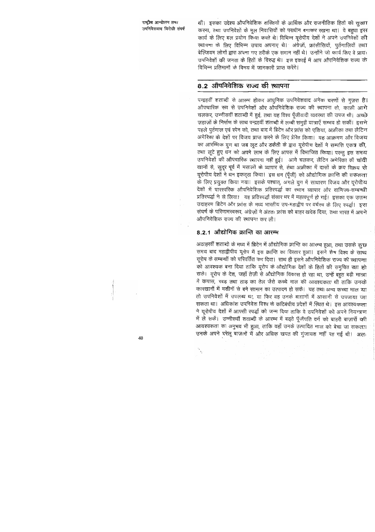थी। इसका उद्देश्य औपनिवेशिक शक्तियों के आर्थिक और राजनीतिक हितों की सूरक्षा करना, तथा उपनिवेशों के मूल निवासियों को पराधीन बनाकर रखना था। वे बहुधा इस कार्य के लिए बल प्रयोग किया करते थे। विभिन्न यूरोपीय देशों ने अपने उपनिवेशों की स्थापना के लिए विभिन्न उपाय अपनाए थे। अंग्रेज़ों, फ्रांसीसियों, पूर्तगालियों तथा बेल्जियम लोगों द्वारा अपना गए तरीके एक समान नहीं थे। उन्होंने जो कार्य किए वे प्रायः उपनिवेशों की जनता के हितों के विरुद्ध थे। इस इकाई में आप औपनिवेशिक राज्य के विभिन्न प्रतिमानों के विषय में जानकारी प्राप्त करेंगे।

# 8.2 औपनिवेशिक राज्य की स्थापना

पन्द्रहवीं शताब्दी से आरम्भ होकर आधुनिक उपनिवेशवाद अनेक चरणों से गुज़रा है। औपचारिक रूप से उपनिवेशों और औपनिवेशिक राज्य की स्थापना तो, काफ़ी आगे चलकर, उन्नीसवीं शताब्दी में हुई, तथा यह विश्व पूँजीवादी व्यवस्था की उपज थी। अच्छे ज़हाज़ों के निर्माण के साथ पन्द्रहवीं शताब्दी में लम्बी समुद्री यात्राएँ सम्भव हो सकीं। इसने पहले पुर्तगाल एवं स्पेन को, तथा बाद में ब्रिटेन और फ्रांस को एशिया, अफ्रीका तथा लैटिन अमेरिका के देशों पर विजय प्राप्त करने के लिए प्रेरित किया। यह आक्रमण और विजय का आरम्भिक युग था जब लूट और डकेंती के द्वारा यूरोपीय देशों ने सम्पत्ति एकत्र की, तथा लूटे हुए धन को अपने लाभ के लिए आपस में विभाजित किया। परन्तु इस समय उपनिवेशों की औपचारिक स्थापना नहीं हुई। आगे चलकर, लैटिन अमेरिका की चांदी खानों से, सुदूर पूर्व में मसालों के व्यापार से, तथा अफ्रीका में दासों के क्रय विक्रय से यूरोपीय देशों ने धन इकट्ठा किया। इस धन (पूँजी) को ओद्योगिक क्रान्ति की सफलता के लिए प्रयुक्त किया गया। इसके पश्चात्, अगले युग में साधारण विजय और यूरोपीय देशों में पारस्परिक औपनिवेशिक प्रतिस्पर्द्धा का स्थान व्यापार और वाणिज्य-सम्बन्धी प्रतिस्पर्द्धा ने ले लिया। यह प्रतिस्पर्द्धा संसार भर में महत्वपूर्ण हो गई। इसका एक उत्तम उदाहरण ब्रिटेन और फ्रांस के मध्य भारतीय उप-महाद्वीप पर वर्चस्व के लिए स्पर्द्धा इस संघर्ष के परिणामस्वरूप, अंग्रेज़ों ने अंततः फ्रांस को बाहर खदेड दिया. तथा भारत में अपने औपनिवेशिक राज्य की स्थापना कर ली।

### 8.2.1 औद्योगिक क्रान्ति का आरम्भ

अठाहरवीं शताब्दी के मध्य में ब्रिटेन में औद्योगिक क्रान्ति का आरम्भ हुआ, तथा उसके कुछ समय बाद महाद्वीपीय यूरोप में इस क्रान्ति का विस्तार हुआ। इसने शेष विश्व के साथ यूरोप के सम्बन्धों को परिवर्तित कर दिया। साथ ही इसने औपनिवेशिक राज्य की स्थापन्ना को आवश्यक बना दिया ताकि यूरोप के औद्योगिक देशों के हितों की समुचित रक्षा हो सके। यूरोप के देश, जहाँ तेज़ी से औद्योगिक विकास हो रहा था, उन्हें बहुत बड़ी मान्रा में कपास, रबड़ तथा ताड़ का तेल जैसे कच्चे माल की आवश्यकता थी ताकि उनके कारखानों में मशीनों से बने सामान का उत्पादन हो सके। यह तथा अन्य कच्चा माल या तो उपनिवेशों में उपलब्ध था, या फिर वह उनके बाग़ानों में आसानी से उपजाया जा सकता था। अधिकांश उपनिवेश विश्व के कटिबंधीय प्रदेशों में स्थित थे। इस आवश्यकत्ता ने यूरोपीय देशों में आपसी स्पर्द्धा को जन्म दिया ताकि वे उपनिवेशों को अपने नियन्त्रण में ले सकें। उन्नीसवीं शताब्दी के आरम्भ में बढ़ते पूँजीपति वर्ग को बाहरी बाज़ारों की आवश्यकता का अनुभव भी हुआ, ताकि वहाँ उनके उत्पादित माल को बेचा जा सकता। उनके अपने घरेलू बाज़ारों में और अधिक खपत की गुंजायश नहीं रह गई थी। अतः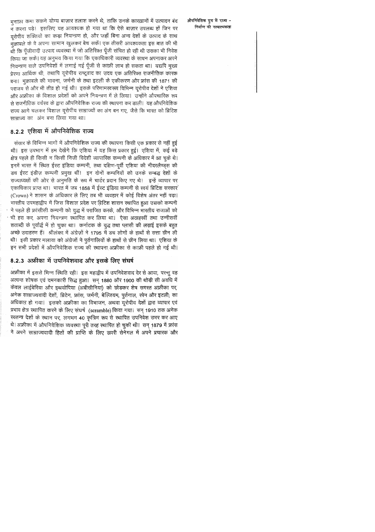मनाफ़ा कमा सकने योग्य बाज़ार तलाश करने थे, ताकि उनके कारख़ानों में उत्पादन बंद न करना पड़े। इसलिए यह आवश्यक हो गया था कि ऐसे बाज़ार उपलब्ध हों जिन पर चरोपीय शक्तियों का कड़ा नियन्त्रण हो, और जहाँ बिना अन्य देशों के उत्पाद के साथ मक़ाबले के वे अपना सामान खुलकर बेच सकें। एक तीसरी आवश्यकता इस बात की भी थी कि पॅंजीवादी उत्पाद व्यवस्था में जो अतिरिक्त पूँजी संचित हो रही थी उसका भी निवेश किया जा सके। यह अनुभव किया गया कि एकाधिकारी व्यवस्था के साधन अपनाकर अपने नियन्त्रण वाले उपनिवेशों में लगाई गई पूँजी से काफ़ी लाभ हो सकता था। यद्यपि मुख्य प्रेरणा आर्थिक थी, तथापि यूरोपीय राष्ट्र्वाद का उदय एक अतिरिक्त राजनीतिक कारक बना। मुक़ाबले की भावना, जर्मनी के तथा इटली के एकीकरण और फ्रांस की 1871 की पराजय से और भी तीव्र हो गई थी। इसके परिणामस्वरूप विभिन्न यूरोपीय देशों ने एशिया और अफ्रीका के विशाल प्रदेशों को अपने नियन्त्रण में ले लिया। उन्होंने औपचारिक रूप से राजनीतिक वर्चस्व के द्वारा औपनिवेशिक राज्य की स्थापना कर डाली। यह औपनिवेशिक राज्य आगे चलकर विशाल यूरोपीय साम्राज्यों का अंग बन गए, जैसे कि भारत को ब्रिटिश साम्राज्य का अंग बना लिया गया था।

## 8.2.2 एशिया में औपनिवेशिक राज्य

संसार के विभिन्न भागों में औपनिवेशिक राज्य की स्थापना किसी एक प्रकार से नहीं हुई थी। इस उपभाग में हम देखेंगे कि एशिया में यह किस प्रकार हुई। एशिया में, कई बड़े क्षेत्र पहले ही किसी न किसी निजी विदेशी व्यापारिक कम्पनी के अधिकार में आ चुके थे। इनमें भारत में स्थित ईस्ट इंडिया कम्पनी, तथा दक्षिण-पूर्वी एशिया की नीदरलैण्ड्स की डच ईस्ट इंडीज़ कम्पनी प्रमुख थीं। इन दोनों कम्पनियों को उनके सम्बद्ध देशों के राज्याध्यक्षों की ओर से अनुमति के रूप में चार्टर प्रदान किए गए थे। इन्हें व्यापार पर एकाधिकार प्राप्त था। भारत में जब 1858 में ईस्ट इंडिया कम्पनी से स्वयं ब्रिटिश सरकार (Crown) ने शासन के अधिकार ले लिए तब भी व्यवहार में कोई विशेष अंतर नहीं पड़ा। भारतीय उपमहाद्वीप में जिस विशाल प्रदेश पर ब्रिटिश शासन स्थापित हुआ उसको कम्पनी ं ने पहले ही फ्रांसीसी कम्पनी को युद्ध में पराजित करके, और विभिन्न भारतीय राजाओं को <sup>.</sup> भी हरा कर, अपना नियन्त्रण रथापित कर लिया था। ऐसा अठाहरवीं तथा उन्नीसवीं शताब्दी के पूर्वार्द्ध में हो चुका था। कर्नाटक के युद्ध तथा प्लासी की लड़ाई इसके बहुत अच्छे उदाहरण हैं। श्रीलंका में अंग्रेज़ों ने 1795 में डच लोगों के हाथों से सत्ता छीन ली थी। इसी प्रकार मलाया को अंग्रेजों ने पुर्तगालियों के हाथों से छीन लिया था। एशिया के इन सभी प्रदेशों में औपनिवेशिक राज्य की स्थापना अफ्रीका से काफ़ी पहले हो गई थी।

## 8.2.3 अफ्रीका में उपनिवेशवाद और इसके लिए संघर्ष

अफ्रीका में इससे भिन्न स्थिति रही। इस महाद्वीप में उपनिवेशवाद देर से आया, परन्तु वह अत्यन्त शोषक एवं दमनकारी सिद्ध हुआ। सन् 1880 और 1900 की थोड़ी सी अवधि में केवल लाईबेरिया और इथयोपिया (अबीसीनिया) को छोड़कर शेष समस्त अफ्रीका पर, अनेक साम्राज्यवादी देशों, ब्रिटेन, फ्रांस, जर्मनी, बेल्जियम, पुर्तगाल, स्पेन और इटली; का अधिकार हो गया। इसको अफ्रीका का विभाजन, अथवा यूरोपीय देशों द्वारा व्यापार एवं | प्रभाव क्षेत्र स्थापित करने के लिए संघर्ष (scramble) किया गया। सन् 1910 तक अनेक स्वतन्त्र देशों के स्थान पर, लगभग 40 कृत्रिम रूप से स्थापित उपनिवेश उभर कर आए थे। अफ्रीका में औपनिवेशिक व्यवस्था पूरी तरह स्थापित हो चुकी थी। सन् 1879 में फ्रांस ने अपने साम्राज्यवादी हितों की प्राप्ति के लिए ऊपरी सेनेगल में अपने प्रचारक और

### औपनिवेशिक युग में राज्य -निर्माण की गत्यात्मकता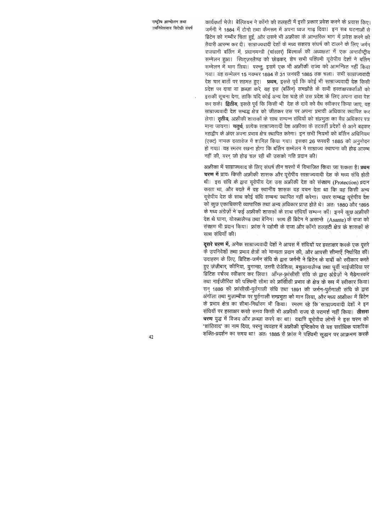कार्यकर्ता भेजे। बेल्जियम ने काँगो की तलहटी में इसी प्रकार प्रवेश करने के प्रयास किए। जर्मनी ने 1884 में टोगो तथा कैमरून में अपना ध्वज गाढ़ दिया। इन सब घटनाओं से ब्रिटेन को गम्भीर चिंता हुई, और उसने भी अफ्रीका के आन्तरिक भाग में प्रवेश करने की तैयारी आरम्भ कर दी। साम्राज्यवादी देशों के मध्य सशस्त्र संघर्ष को टालने के लिए जर्मन राजधानी बर्लिन में, प्रधानमन्त्री (चांरत्नर) बिरमार्क की अध्यक्षता में एक अन्तर्राष्ट्रीय सम्मेलन हुआ। स्विट्ज़रलैण्ड को छोड़कर, शेष सभी पश्चिमी यूरोपीय देशों ने बर्लिन सम्मेलन में भाग लिया। परन्तु, इसमें एक भी अफ्रीकी राज्य को आमन्त्रित नहीं किया गया। यह सम्मेलन 15 नवम्बर 1884 से 31 जनवरी 1885 तक चला। सभी साम्राज्यवादी देश चार बातों पर सहमत हुए। **प्रथम**, इससे पूर्व कि कोई भी साम्राज्यवादी देश किसी प्रदेश पर दावा या क़ब्ज़ा करे, वह इस (बर्लिन) समझौते के सभी हरताक्षरकर्ताओं को इसकी सूचना देगा, ताकि यदि कोई अन्य देश चाहे तो उस प्रदेश के लिए अपना दावा पेश कर सके। द्वितीय, इससे पूर्व कि किसी भी देश के दावे को वैध स्वीकार किया जाए, वह साम्राज्यवादी देश सम्बद्ध क्षेत्र को जीतकर उस पर अपना प्रभावी अधिकार स्थापित कर लेगा। **तृतीय**, अफ्रीकी शासकों के साथ सम्पन्न संधियों को संप्रभुता का वैध अधिकार पत्र माना जायगा। चतुर्थ, प्रत्येक साम्राज्यवादी देश अफ्रीका के तटवर्ती प्रदेशों से आगे बढ़कर महाद्वीप के अंदर अपना प्रभाव क्षेत्र स्थापित करेगा। इन सभी नियमों को बर्लिन अधिनियम (एक्ट) नामक दरतावेज में शामिल किया गया। इसका 26 फरवरी 1885 को अनुमोदन हो गया। यह रमरण रखना होगा कि बर्लिन सम्मेलन ने साम्राज्य स्थापना की होड़ आरम्भ नहीं की, वरन् जो होड़ चल रही थी उसको गति प्रदान की।

अफ्रीका में साम्राज्यवाद के लिए संघर्ष तीन चरणों में विभाजित किया जा सकता है। **प्रथम** चरण में प्रायः किसी अफ्रीकी शासक और यूरोपीय साम्राज्यवादी देश के मध्य संधि होती थी। इस संधि के द्वारा यूरोपीय देश उस अफ्रीकी देश को संरक्षण (Protection) प्रदान करता था, और बदले में वह स्थानीय शासक यह वचन देता था कि वह किसी अन्य यूरोपीय देश के साथ कोई संधि सम्बन्ध स्थापित नहीं करेगा। उधर सम्बद्ध यूरोपीय देश को कुछ एकाधिकारी व्यापारिक तथा अन्य अधिकार प्राप्त होते थे। अतः 1880 और 1895 के मध्य अंग्रेज़ों ने कई अफ्रीकी शासकों के साथ संधियाँ सम्पन्न कीं। इनमें कुछ अफ्रीकी देश थे घाना, योरूबालैण्ड तथा बेनिन। साथ ही ब्रिटेन ने असान्ते (Asante) के राजा को संरक्षण भी प्रदान किया। फ्रांस ने दहोमी के राजा और काँगो तलहटी क्षेत्र के शासकों के साथ संधियाँ की।

दूसरे चरण में, अनेक साम्राज्यवादी देशों ने आपस में संधियों पर हस्ताक्षर करके एक दूसरे के उपनिवेशों तथा प्रभाव क्षेत्रों को मान्यता प्रदान की, और आपसी सीमाएँ निर्धारित कीं। उदाहरण के लिए, ब्रिटिश-जर्मन संधि के द्वारा जर्मनी ने ब्रिटेन के दावों को स्वीकार करते हुए ज़ंज़ीबार, कीनिया, युगान्डा, उत्तरी रोडेशिया, बचुआनालैण्ड तथा पूर्वी नाईजीरिया पर ब्रिटिश वर्चस्व स्वीकार कर लिया। ऑग्ल-फ़्रांसीसी संधि के द्वारा अंग्रेज़ों ने मैडेगास्कर तथा नाईजीरिया की पश्चिमी सीमा को फ्राॅसीसी प्रभाव के क्षेत्र के रूप में स्वीकार किया। सन् 1886 की फ्रांसीसी-पुर्तगाली संधि तथा 1891 की जर्मन-पुर्तगाली संधि के द्वारा अंगोला तथा मुज़ाम्बीक पर पुर्तगाली सम्प्रभुता को मान लिया, और मध्य अफ्रीका में ब्रिटेन के प्रभाव क्षेत्र का सीमा-निर्धारण भी किया। स्मरण रहे कि साम्राज्यवादी देशों ने इन संधियों पर हस्ताक्षर करते समय किसी भी अफ्रीकी राज्य से परामर्श नहीं किया। **तीसरा** चरण युद्ध में विजय और क़ब्ज़ा करने का था। यद्यपि यूरोपीय लोगों ने इस चरण को 'शांतिवाद' का नाम दिया, परन्तु व्यवहार में अफ्रीकी दृष्टिकोण से यह सर्वाधिक पाशविक शक्ति-प्रदर्शन का समय था। अतः 1885 से फ्रांस ने पश्चिमी सूडान पर आक्रमण करके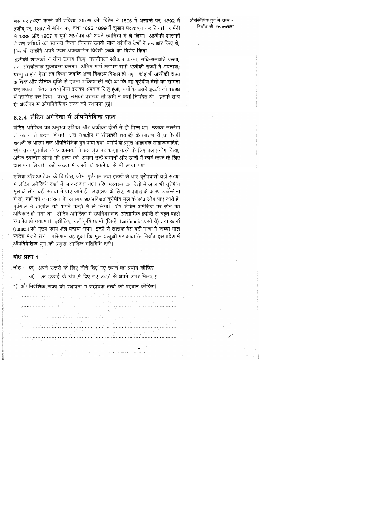उस पर क़ब्ज़ा करने की प्रक्रिया आरम्भ की, ब्रिटेन ने 1896 में असान्ते पर, 1892 में इजीब पर, 1897 में बेनिन पर, तथा 1896-1899 में सूडान पर क़ब्ज़ा कर लिया। जर्मनी ने 1888 और 1907 में पूर्वी अफ्रीका को अपने स्वामित्त्व में ले लिया। अफ्रीकी शासकों ने उन संधियों का स्वागत किया जिनपर उनके साथ यूरोपीय देशों ने हस्ताक्षर किए थे, फिर भी उन्होंने अपने ऊपर अप्रत्याशित विदेशी क़ब्ज़े का विरोध किया।

अफ्रीकी शासकों ने तीन उपाय किएः पराधीनता स्वीकार करना, संधि-समझौते करना, तथा संघर्षात्मक मुकाबला करना। अंतिम मार्ग लगभग सभी अफ्रीकी राज्यों ने अपनाया; परन्तु उन्होंने ऐसा तब किया जबकि अन्य विकल्प विफल हो गए। कोइ भी अफ्रीकी राज्य आर्थिक और सैनिक दृष्टि से इतना शक्तिशाली नहीं था कि वह यूरोपीय देशों का सामना कर सकता। केवल इथयोपिया इसका अपवाद सिद्ध हुआ, क्योंकि उसने इटली को 1898 में पराजित कर दिया। परन्तु, उसकी पराजय भी कभी न कभी निश्चित थी। इसके साथ ही अफ्रीका में औपनिवेशिक राज्य की स्थापना हुई।

## 8.2.4 लैटिन अमेरिका में औपनिवेशिक राज्य

लैटिन अमेरिका का अनुभव एशिया और अफ्रीका दोनों से ही भिन्न था। उसका उल्लेख तो अलग से करना होगा। उस महाद्वीप में सोलहवीं शताब्दी के आरम्भ से उन्नीसवीं शताब्दी के आरम्भ तक औपनिवेशिक युग पाया गया, यद्यपि दो प्रमुख आक्रामक साम्राज्यवादियों, स्पेन तथा पुतर्गाल के आक्रामकों ने इस क्षेत्र पर क़ब्ज़ा करने के लिए बल प्रयोग किया, अनेक स्थानीय लोगों की हत्या की, अथवा उन्हें बागानों और खानों में कार्य करने के लिए दास बना लिया। बड़ी संख्या में दासों को अफ्रीका से भी लाया गया।

एशिया और अफ्रीका के विपरीत, स्पेन, पुर्तगाल तथा इटली से आए यूरोपवासी बड़ी संख्या में लैटिन अमेरिकी देशों में जाकर बस गए। परिणामस्वरूप उन देशों में आज भी यूरोपीय मूल के लोग बड़ी संख्या में पाए जाते हैं। उदाहरण के लिए, आप्रवास के कारण अर्जेन्टीना में तो, वहाँ की जनसंख्या में, लगभग 90 प्रतिशत यूरोपीय मूल के श्वेत लोग पाए जाते हैं। पुर्तगाल ने ब्राज़ील को अपने क़ब्ज़े में ले लिया। शेष लैटिन अमेरिका पर स्पेन का अधिकार हो गया था। लैटिन अमेरिका में उपनिवेशवाद, औद्योगिक क्रान्ति से बहुत पहले स्थापित हो गया था। इसीलिए, वहाँ कृषि फ़ार्मों (जिन्हें Latifundia कहते थे) तथा खानों (mines) को मुख्य कार्य क्षेत्र बनाया गया। इन्हीं से शासक देश बड़ी मात्रा में कच्चा माल स्वदेश भेजने लगे। परिणाम यह हुआ कि मूल वस्तुओं पर आधारित निर्यात इस प्रदेश में औपनिवेशिक युग की प्रमुख आर्थिक गतिविधि बनी।

 $-14.$ 

### बोध प्रश्न 1

|  |  |  |  |  | नोट: क) अपने उत्तरों के लिए नीचे दिए गए स्थान का प्रयोग कीजिए।<br>ख) इस इकाई के अंत में दिए गए उत्तरों से अपने उत्तर मिलाइए।<br>1) औपनिवेशिक राज्य की स्थापना में सहायक तत्त्वों की पहचान कीजिए। |  |
|--|--|--|--|--|--------------------------------------------------------------------------------------------------------------------------------------------------------------------------------------------------|--|
|  |  |  |  |  |                                                                                                                                                                                                  |  |
|  |  |  |  |  | a ta 1970 a shekarar 2004 ta 1970 a ta 1970 a ta 1970                                                                                                                                            |  |
|  |  |  |  |  |                                                                                                                                                                                                  |  |
|  |  |  |  |  |                                                                                                                                                                                                  |  |
|  |  |  |  |  |                                                                                                                                                                                                  |  |
|  |  |  |  |  |                                                                                                                                                                                                  |  |

औपनिवेशिक युग में राज्य -निर्माण की गत्यात्मकता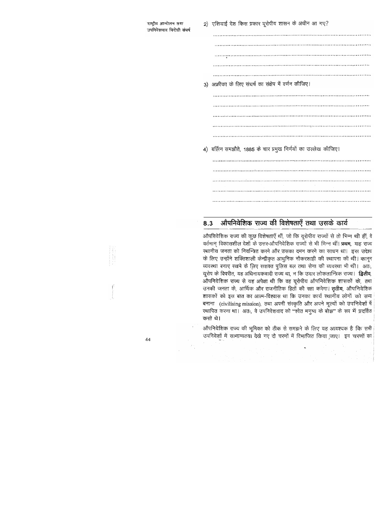3) अफ्रीका के लिए संघर्ष का संक्षेप में वर्णन कीजिए। 4) बर्लिन समझौते, 1885 के चार प्रमुख निर्णयों का उल्लेख कीजिए। 

2) एशियाई देश किस प्रकार यूरोपीय शासन के अधीन आ गए?

#### औपनिवेशिक राज्य की विशेषताएँ तथा उसके कार्य 8.3

औपनिवेशिक राज्य की कूछ विशेषताएँ थीं, जो कि यूरोपीय राज्यों से तो भिन्न थी हीं, वे वर्तमान् विकासशील देशों के उत्तर-औपनिवेशिक राज्यों से भी भिन्न थीं। प्रथम, यह राज्य स्थानीय जनता को नियन्त्रित करने और उसका दमन करने का साधन था। इस उद्देश्य के लिए उन्होंने शक्तिशाली केन्द्रीकृत आधुनिक नौकरशाही की स्थापना की थी। कानून व्यवस्था बनाए रखने के लिए सशक्त पुलिस बल तथा सेना की व्यवस्था भी थी। अतः, यूरोप के विपरीत, यह अधिनायकवादी राज्य था, न कि उदार लोकतान्त्रिक राज्य। **द्वितीय**, ओपनिवेशिक राज्य से यह अपेक्षा थी कि वह यूरोपीय औपनिवेशिक शासकों के, तथा उनकी जनता के, आर्थिक और राजनीतिक हितों की रक्षा करेगा। **तृतीय**, औपनिवेशिक शासकों को इस बात का आत्म-विश्वास था कि उनका कार्य स्थानीय लोगों को सभ्य बनाना (civilising mission), तथा अपनी संस्कृति और अपने मूल्यों को उपनिवेशों में रथापित करना था। अतः, वे उपनिवेशवाद को "श्वेत मनुष्य के बोझ" के रूप में प्रदर्शित करते थे।

औपनिवेशिक राज्य की भूमिका को ठीक से समझने के लिए यह आवश्यक है कि सभी उपनिवेशों में सामान्यतया देखे गए दो चरणों में विभाजित किया जाए। इन चरणों का

44

ंराष्ट्रीय आन्दोलन तथा उपनिवेशवाद विरोधी संघर्ष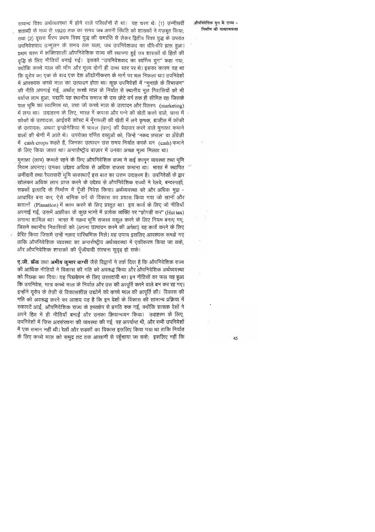सम्बन्ध विश्व अर्थव्यवस्था में होने वाले परिवर्तनों से था। यह चरण थेः (1) उन्नीसवीं शताब्दी के मध्य से 1920 तक का समय जब अपनी स्थिति को शासकों ने मज़बूत किया; तथा (2) दूसरा चरण प्रथम विश्व युद्ध की समाप्ति से लेकर द्वितीय विश्व युद्ध के उपरांत उपनिवेशवाद उन्मूलन के समय तक चला, जब उपनिवेशवाद का धीरे-धीरे ह्रास हुआ। प्रथम चरण में शक्तिशाली औपनिवेशिक राज्य की स्थापना हुई जब शासकों के हितों की वृद्धि के लिए नीतियाँ बनाई गईं। इसको "उपनिवेशवाद का स्वर्णिम युग" कहा गया, क्योंकि कच्चे माल की माँग और मूल्य दोनों ही उच्च स्तर पर थे। इसका कारण यह था कि यूरोप का एक के बाद एक देश औद्योगीकरण के मार्ग पर चल निकला था। उपनिवेशों में आवश्यक कच्चे माल का उत्पादन होता था। कुछ उपनिवेशों में "मुनाफ़े के विभाजन" की नीति अपनाई गई, अर्थात् कच्चे माल के निर्यात से स्थानीय मूल निवासियों को भी पर्याप्त लाभ हुआ, यद्यपि यह स्थानीय समाज के उस छोटे वर्ग तक ही सीमित रहा जिसके पास भूमि का स्वामित्त्व था, तथा जो कच्चे माल के उत्पादन और वितरण (marketing) में लगा था। उदाहरण के लिए, भारत में कपास और गन्ने की खेती करने वाले, घाना में कोको के उत्पादक, आईवरी कोस्ट में मूँगफली की खेती में लगे कृषक, ब्राज़ील में कॉफी के उत्पादक, अथवा इन्डोनेशिया में चावल (धान) की पैदावार करने वाले मुनाफ़ा कमाने वालों की श्रेणी में आते थे। उपरोक्त वर्णित वस्तुओं को, जिन्हें 'नकद फ़सल' या अँग्रेज़ी में cash crops कहते हैं, जिनका उत्पादन उस समय निर्यात करके धन (cash) कमाने के लिए किया जाता था। अन्तर्राष्ट्रीय बाज़ार में उनका अच्छा मूल्य मिलता था।

मुनाफ़ा (लाभ) कमाते रहने के लिए औपनिवेशिक राज्य ने कई कानून व्यवस्था तथा भूमि नियम अपनाए। उनका उद्देश्य अधिक से अधिक राजस्व कमाना था। भारत में स्थापित ज़मींदारी तथा रैयतवारी भूमि व्यवस्थाएँ इस बात का उत्तम उदाहरण है। उपनिवेशों के द्वार खोलकर अधिक लाभ प्राप्त करने के उद्देश्य से औपनिवेशिक राज्यों ने रेलवे, बन्दरगाहों, सड़कों इत्यादि के निर्माण में पूँजी निवेश किया। अर्थव्यवस्था को और अधिक मुद्रा -आधारित बना कर, ऐसे श्रमिक वर्ग के विकास का प्रयास किया गया जो खानों और बांग़ानों (Planation) में काम करने के लिए प्रस्तुत था। इस कार्य के लिए जो नीतियाँ अपनाई गई, उसमें अफ्रीका के कुछ भागों में प्रत्येक व्यक्ति पर "झोपड़ी कर" (Hut tax) लगाना शामिल था। भारत में नक़द भूमि राजस्व वसूल करने के लिए नियम बनाए गए, जिसने स्थानीय निवासियों को (अपना उत्पादन करने की अपेक्षा) वह कार्य करने के लिए प्रेरित किया जिसमें उन्हें नक़द पारिश्रमिक मिले। यह उपाय इसलिए आवश्यक समझे गए ताकि औपनिवेशिक व्यवस्था का अन्तर्राष्ट्रीय अर्थव्यवस्था में एकीकरण किया जा सके, और औपनिवेशिक शासकों की पूँजीवादी संरचना सुदृढ़ हो सके।

ए.जी. फ्रेंक तथा अमीय कुमार बाग्ची जैसे विद्वानों ने तर्क दिया है कि औपनिवेशिक राज्य की आर्थिक नीतियों ने विकास की गति को अवरुद्ध किया और औपनिवेशिक अर्थव्यवस्था को पिछड़ा रूप दिया। यह पिछड़ेपन के लिए उत्तरदायी था। इन नीतियों का फल यह हुआ कि उपनिवेश, मात्र कच्चे माल के निर्यात और उस की आपूर्ति करने वाले बन कर रह गए। इन्होंने यूरोप के तेज़ी से विकासशील उद्योगें को कच्चे माल की आपूर्ति की। विकास की गति को अवरुद्ध करने का आशय यह है कि इन देशों के विकास की सामान्य प्रक्रिया में रुकावटें आईं, औपनिवेशिक राज्य के हरतक्षेप से प्रगति रुक गई, क्योंकि शासक देशों ने अपने हित में ही नीतियाँ बनाईं और उनका क्रियान्वयन किया। उदाहरण के लिए, उपनिवेशों में जिस अवसंरचना की व्यवस्था की गई, वह अपर्याप्त थी, और सभी उपनिवेशों में एक समान नहीं थी। रेलों और सड़कों का विकास इसलिए किया गया था ताकि निर्यात के लिए कच्चे माल को समुद्र तट तक आसानी से पहुँचाया जा सके;) इसलिए नहीं कि

### औपनिवेशिक युग में राज्य -निर्माण की गत्यात्मकता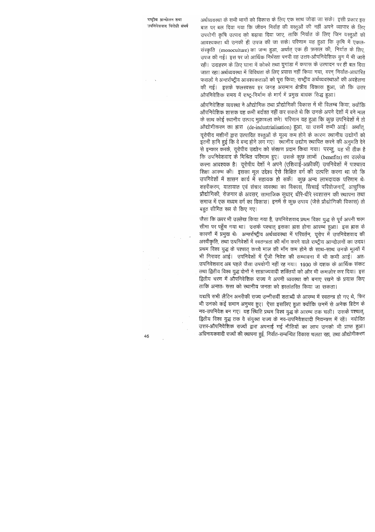$\sim$ 

अर्थव्यवस्था के सभी भागों को विकास के लिए एक साथ जोड़ा जा सके। इसी प्रकार इस बात पर बल दिया गया कि जीवन निर्वाह की वस्तुओं की नहीं अपने व्यापार के लिए उपयोगी कृषि उत्पाद को बढ़ावा दिया जाए, ताकि निर्यात के लिए जिन वस्तुओं की आवश्यकता थी उनकी ही उपज की जा सके। परिणाम यह हुआ कि कृषि में एकल-संस्कृति (monoculture) का जन्म हुआ, अर्थात् एक ही फ़सल की, निर्यात के लिए, उपज की गई। इस पर जो आर्थिक निर्भरता पनपी वह उत्तर-ओपनिवेशिक युग में भी जारी रही। उदाहरण के लिए घाना में कोको तथा युगांडा में कपास के उत्पादन पर ही बल दिया जाता रहा। अर्थव्यवस्था में विविधता के लिए प्रयास नहीं किया गया, वरन् निर्यात-आधारित फसलों ने अन्तर्राष्ट्रीय आवश्यकताओं को पूरा किया; राष्ट्रीय अर्थव्यवस्थाओं की अवहेलना की गई। इसके फलस्वरूप हर जगह असमान क्षेत्रीय विकास हुआ, जो कि उत्तर ओपनिवेशिक समय में राष्ट्र-निर्माण के मार्ग में प्रमुख बाधक सिद्ध हुआ।

औपनिवेशिक व्यवस्था ने औद्योगिक तथा प्रौद्योगिकी विकास में भी विलम्ब किया, क्योंकि औपनिवेशिक शासक यह कभी बर्दाश्त नहीं कर सकते थे कि उनके अपने देशों में बने माल के साथ कोई स्थानीय उत्पाद मुक़ाबला करे। परिणाम यह हुआ कि कुछ उपनिवेशों में तो ओद्योगीकरण का ह्रास (de-industrialisation) हुआ, या उसमें कमी आई। अर्थात, यूरोपीय मशीनों द्वारा उत्पादित वस्तुओं के मूल्य कम होने के कारण स्थानीय उद्योगों को इतनी हानि हुई कि वे बन्द होने लग गए। ख्यानीय उद्योग स्थापित करने की अनुमति देने से इन्कार करके, यूरोपीय उद्योग को संरक्षण प्रदान किया गया। परन्तु, यह भी ठीक है कि उपनिवेशवाद के मिश्रित परिणाम हुए। उसके कुछ लाभों (benefits) का उल्लेख करना आवश्यक है। यूरोपीय देशों ने अपने (एशियाई-अफ्रीकी) उपनिवेशों में पाश्चात्य शिक्षा आरम्भ की। इसका मूल उद्देश्य ऐसे शिक्षित वर्ग की उत्पत्ति करना था जो कि उपनिवेशों में शासन कार्य में सहायक हो सकें। कुछ अन्य लाभदायक परिणाम थेः शहरीकरण, यातायात एवं संचार व्यवस्था का विकास, सिंचाई परियोजनाएँ, आधुनिक प्रौद्योगिकी, रोज़गार के अवसर, सामाजिक सुधार, धीरे-धीरे स्वशासन की स्थापना तथा समाज में एक मध्यम वर्ग का विकास। इनमें से कुछ उपाय (जैसे प्रौद्योगिकी विकास) तो बहुत सीमित रूप से किए गए।

जैसा कि ऊपर भी उल्लेख किया गया है, उपनिवेशवाद प्रथम विश्व युद्ध से पूर्व अपनी चरम सीमा पर पहुँच गया था। उसके पश्चात् इसका ह्रास होना आरम्भ हुआ। इस ह्रास के कारणों में प्रमुख थेः अन्तर्राष्ट्रीय अर्थव्यवस्था में परिवर्तन, यूरोप में उपनिवेशवाद की अरवीकृति, तथा उपनिवेशों में स्वतन्त्रता की माँग करने वाले राष्ट्रीय आन्दोलनों का उदय। प्रथम विश्व युद्ध के पश्चात् कच्चे माल की माँग कम होने के साथ-साथ उनके मूल्यों में भी गिरावट आई। उपनिवेशों में पूँजी निवेश की सम्भावना में भी कमी आई। अतः उपनिवेशवाद अब पहले जैसा उपयोगी नहीं रह गया। 1930 के दशक के आर्थिक संकट तथा द्वितीय विश्व युद्ध दोनों ने साम्राज्यवादी शक्तियों को और भी कमज़ोर कर दिया। इस द्वितीय चरण में औपनिवेशिक राज्य ने अपनी व्यवस्था को बनाए रखने के प्रयास किए ताकि अन्ततः सत्ता को स्थानीय जनता को हस्तांतरित किया जा सकता।

यद्यपि सभी लैटिन अमरीकी राज्य उन्नीसवीं शताब्दी के आरम्भ में स्वतन्त्र हो गए थे, फिर भी उनको कई समान अनुभव हुए। ऐसा इसलिए हुआ क्योंकि उनमें से अनेक ब्रिटेन के नव-उपनिवेश बन गए। यह स्थिति प्रथम विश्व युद्ध के आरम्भ तक चली। उसके पश्चात्, द्वितीय विश्व युद्ध तक वे संयुक्त राज्य के नव-उपनिवेशवादी नियन्त्रण में रहें। नवोदित उत्तर-औपनिवेशिक राज्यों द्वारा अपनाई गई नीतियों का लाभ उनको भी प्राप्त हुआ। अधिनायकवादी राज्यों की स्थापना हुई, निर्यात-सम्बन्धित विकास चलता रहा, तथा औद्योगीकरण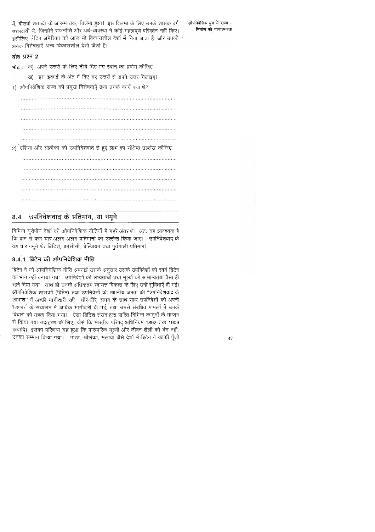में, बीसवीं शताब्दी के आरम्भ तक, विलम्ब हुआ। इस विलम्ब के लिए उनके शासक वर्ग उत्तरदायी थे, जिन्होंने राजनीति और अर्थ-व्यवस्था में कोई महत्वपूर्ण परिवर्तन नहीं किए। इसीलिए लैटिन अमेरिका को आज भी विकासशील देशों में गिना जाता है, और उनकी अनेक विशेषताएँ अन्य विकासशील देशों जैसी हैं।

## बोध प्रश्न 2

नोट: क) अपने उत्तरों के लिए नीचे दिए गए स्थान का प्रयोग कीजिए। ख) इस इकाई के अंत में दिए गए उत्तरों से अपने उत्तर मिलाइए। 1) औपनिवेशिक राज्य की प्रमुख विशेषताएँ तथा उनके कार्य क्या थे? 2) एशिया और अफ्रीका को उपनिवेशवाद से हुए लाभ का संक्षिप्त उल्लेख कीजिए। 

#### उपनिवेशवाद के प्रतिमान, या नमूने 8.4

विभिन्न यूरोपीय देशों की ओपनिवेशिक नीतियों में गहरे अंतर थे। अतः यह आवश्यक है कि कम से कम चार अलग-अलग प्रतिमानों का उल्लेख किया जाए। उपनिवेशवाद के यह चार नमूने थेः ब्रिटिश, फ्रांसीसी, बेल्जियन तथा पुर्तगाली प्रतिमान।

## 8.4.1 ब्रिटेन की ओपनिवेशिक नीति

ब्रिटेन ने जो औपनिवेशिक नीति अपनाई उसके अनुसार उसके उपनिवेशों को स्वयं ब्रिटेन का भाग नहीं बनाया गया। उपनिवेशों की सभ्यताओं तथा मूल्यों को सामान्यतया वैसा ही रहने दिया गया। साथ ही उनके अधिकतम स्वायत्त विकास के लिए उन्हें सुविधाएँ दी गईं। औपनिवेशिक शासकों (ब्रिटेन) तथा उपनिवेशों की स्थानीय जनता की "उपनिवेशवाद के लाभांश" में अच्छी भागीदारी रही। धीरे-धीरे, समय के साथ-साथ उपनिवेशों को अपनी सरकारों के संचालन में अधिक भागीदारी दी गई, तथा उनसे संबंधित मामलों में उनके विचारों को महत्व दिया गया। ऐसा ब्रिटिश संसद द्वारा पारित विभिन्न कानूनों के माध्यम से किया गया उदाहरण के लिए, जैसे कि भारतीय परिषद् अधिनियम 1892 तथा 1909 इत्यादि। इसका परिणाम यह हुआ कि पारम्परिक मूल्यों और जीवन शैली को भंग नहीं, उनका सम्मान किया गया। भारत, श्रीलंका, मलाया जैसे देशों में ब्रिटेन ने काफ़ी पूँजी औपनिवेशिक युग में राज्य -निर्माण की गत्यात्मकता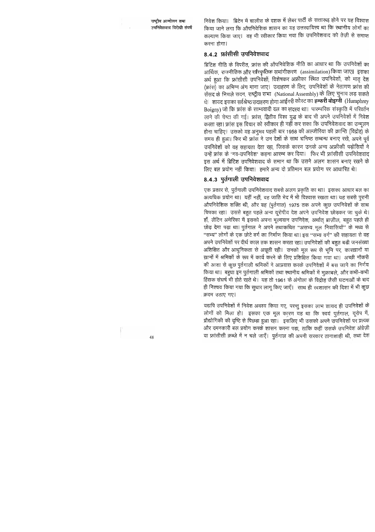निवेश किया। व्रिटेन में चालीस के दशक में लेबर पार्टी के सत्तारूढ़ होने पर यह विश्वास किया जाने लगा कि औपनिवेशिक शासन का यह उत्तरदायित्त्व था कि स्थानीय लोगों का कल्याण किया जाए। यह भी स्वीकार किया गया कि उपनिवेशवाद को तेज़ी से समाप्त करना होगा।

### 8.4.2 फ्रांसीसी उपनिवेशवाद

ब्रिटिश नीति के विपरीत, फ्रांस की औपनिवेशिक नीति का आधार था कि उपनिवेशों का आर्थिक, राजनीतिक और सांस्कृतिक सभांगीकरण (assimilation) किया जाए। इसका अर्थ हुआ कि फ्रांसीसी उपनिवेशों, विशेषकर अफ्रीका स्थित उपनिवेशों, को मातृ देश (फ्रांस) का अभिन्न अंग माना जाए। उदाहरण के लिए, उपनिवेशों के नेतागण फ्रांस की संसद के निचले सदन, राष्ट्रीय सभा (National Assembly) के लिए चुनाव लड़ सकते थे। शायद इसका सर्वश्रेष्ठ उदाहरण होगा आईवरी कोस्ट का **हम्फरी बोइग्नी** (Humphrey Boigny) जो कि फ्रांस के साम्यवादी दल का सदस्य था। पारम्परिक संस्कृति में परिवर्तन लाने की चेष्टा की गई। फ्रांस, द्वितीय विश्व युद्ध के बाद भी अपने उपनिवेशों में निवेश करता रहा। फ्रांस इस विचार को स्वीकार ही नहीं कर सका कि उपनिवेशवाद का उन्मूलन होना चाहिए। उसको यह अनुभव पहली बार 1958 की अल्जीरिया की क्रान्ति (विद्रोह) के समय ही हुआ। फिर भी फ्रांस ने उन देशों के साथ घनिष्ठ सम्बन्ध बनाए रखे, अपने पूर्व उपनिवेशों को वह सहायता देता रहा, जिसके कारण उनके अन्य अफ्रीकी पड़ोसियों ने उन्हें फ्रांस के 'नव-उपनिवेश' कहना आरम्भ कर दिया। फिर भी फ्रांसीसी उपनिवेशवाद इस अर्थ में ब्रिटिश उपनिवेशवाद के समान था कि उसने अलग शासन बनाए रखने के लिए बल प्रयोग नहीं किया। हमारे अन्य दो प्रतिमान बल प्रयोग पर आधारित थे।

## 8.4.3 पूर्तगाली उपनिवेशवाद

एक प्रकार से, पुर्तगाली उपनिवेशवाद सबसे अलग प्रकृति का था। इसका आधार बल का अत्यधिक प्रयोग था। यहीं नहीं, वह जाति भेद में भी विश्वास रखता था। यह सबसे पुरानी औपनिवेशिक शक्ति थी, और यह (पुर्तगाल) 1975 तक अपने कुछ उपनिवेशों के साथ चिपका रहा। उससे बहुत पहले अन्य यूरोपीय देश अपने उपनिवेश छोड़कर जा चुके थे। हाँ, लैटिन अमेरिका में इसको अपना मूल्यवान उपनिवेश, अर्थात् ब्राज़ील, बहुत पहले ही छोड़ देना पड़ा था। पुर्तगाल ने अपने तथाकथित "असभ्य मूल निवासियों" के मध्य से "सभ्य" लोगों के एक छोटे वर्ग का निर्माण किया था। इस "सभ्य वर्ग" की सहायता से वह अपने उपनिवेशों पर दीर्घ काल तक शासन करता रहा। उपनिवेशों की बहुत बड़ी जनसंख्या अशिक्षित और आधुनिकता से अछूती रही। उनको मूल रूप से भूमि पर, कारख़ानों या ख़ानों में श्रमिकों के रूप में कार्य करने के लिए प्रशिक्षित किया गया था। अच्छी नौकरी ंकी आशा से कुछ पुर्तगाली श्रमिकों ने आप्रवास करके उपनिवेशों में बस जाने का निर्णय किया था। बहुघा इन पुर्तगाली श्रमिकों तथा स्थानीय श्रमिकों में मुक़ाबले, और कभी-कभी हिंसक संघर्ष भी होते रहते थे। यह तो 1961 के अंगोला के विद्रोह जैसी घटनाओं के बाद ही निश्चय किया गया कि सुधार लागू किए जाएँ। साथ ही स्वशासन की दिशा में भी कुछ क़दम उठाए गए।

यद्यपि उपनिवेशों में निवेश अवश्य किया गए, परन्तु इसका लाभ शायद ही उपनिवेशों के लोगों को मिला हो। इसका एक मूल कारण यह था कि स्वयं पुर्तगाल, यूरोप में, प्रौद्योगिकी की दृष्टि से पिछड़ा हुआ रहा। इसलिए भी उसको अपने उपनिवेशों पर प्रत्यक्ष और दमनकारी बल प्रयोग करके शासन करना पड़ा, ताकि कहीं उसके उपनिवेश अंग्रेज़ी या फ्रांसीसी क़ब्ज़े में न चले जाएँ। पुर्तगाल की अपनी सरकार तानाशाही थी, तथा देश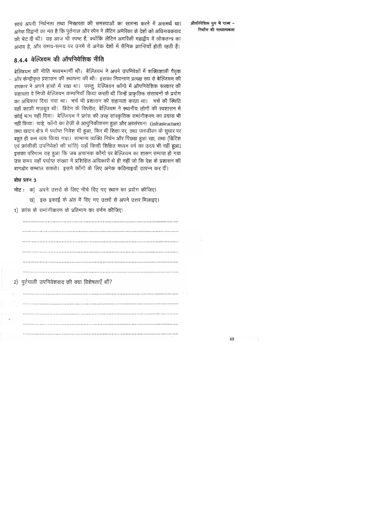ख्वयं अपनी निर्धनता तथा निरक्षरता की समस्याओं का सामना करने में असमर्थ था। अनेक विद्वानों का मत है कि पुर्तगाल और स्पेन ने लैटिन अमेरिका के देशों को अधिनायकवाद की भेट दी थी। यह आज भी स्पष्ट है, क्योंकि लैटिन अमरिकी महाद्वीप में लोकतन्त्र का अभाव है, और समय-समय पर उनमें से अनेक देशों में सैनिक क्रान्तियाँ होती रहती हैं।

## 8.4.4 बेल्जियम की औपनिवेशिक नीति

बेल्जियम की नीति मध्यममार्गी थी। बेल्जियम ने अपने उपनिवेशों में शक्तिशाली पैतृक और केन्द्रीकृत प्रशासन की स्थापना की थी। इसका नियन्त्रण प्रत्यक्ष रूप से बेल्जियम की सरकार ने अपने हाथों में रखा था। परन्तु, बेल्जियन कॉंगो में औपनिवेशिक सरकार की सहायता वे निजी बेल्जियन कम्पनियाँ किया करती थी जिन्हें प्राकृतिक संसाधनों के प्रयोग का अधिकार दिया गया था। चर्च भी प्रशासन की सहायता करता था। चर्च की स्थिति वहाँ काफ़ी मज़बूत थी। ब्रिटेन के विपरीत, बेल्जियम ने स्थानीय लोगों की स्वशासन में कोई भाग नहीं दिया। बेल्जियम ने फ्रांस की तरह सांस्कृतिक समांगीकरण का प्रयास भी नहीं किया। चाहे, कॉंगो का तेज़ी से आधुनिकीकरण हुआ और अवसंरचना (infrastructure) तथा खदान क्षेत्र में पर्याप्त निवेश भी हुआ, फिर भी शिक्षा पर, तथा जनजीवन के सुधार पर बहुत ही कम व्यय किया गया। सामान्य व्यक्ति निर्धन और पिछड़ा हुआ रहा, तथा (ब्रिटिश एवं फ्रांसीसी उपनिवेशों की भांति) यहाँ किसी शिक्षित मध्यम वर्ग का उदय भी नहीं हुआ। इसका परिणाम यह हुआ कि जब अचानक काँगो पर बेल्जियम का शासन समाप्त हो गया उस समय वहाँ पर्याप्त संख्या में प्रशिक्षित अधिकारी थे ही नहीं जो कि देश के प्रशासन की बागडोर सम्भाल सकते। इसने काँगो के लिए अनेक कठिनाइयाँ उत्पन्न कर दीं।

### बोध प्रश्न 3

नोट: क) अपने उत्तरों के लिए नीचे दिए गए स्थान का प्रयोग कीजिए।

- ख) इस इकाई के अंत में दिए गए उत्तरों से अपने उत्तर मिलाइए।
- 1) फ्रांस के समांगीकरण के प्रतिमान का वर्णन कीजिए।

2) पुर्तगाली उपनिवेशवाद की क्या विशेषताएँ थीं? 

औपनिवेशिक युग में राज्य -निर्माण की गत्यात्मकता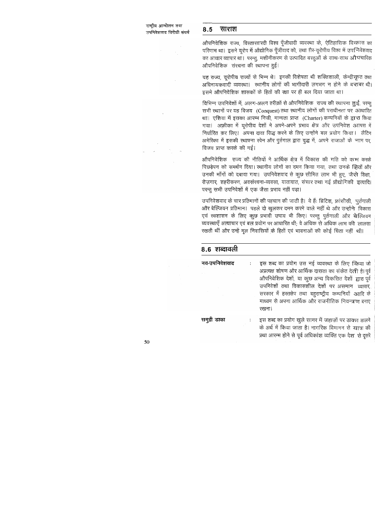#### 8.5 साराश

ओपनिवेशिक राज्य, विस्तारवारदी विश्व पूँजीवादी व्यवस्था के, ऐतिहासिक विद्यास का परिणाम था। इसने यूरोप में औद्योगिक पूँजीवाद को, तथा ग़ैर-यूरोपीय विश्व में उपनिवेशवाद का आधार व्यापार था। परन्तु, मशीनीकरण से उत्पादित वस्तुओं के साथ-साथ औपचारिक औपनिवेशिक) संरचना की स्थापना हुई।

यह राज्य, यूरोपीय राज्यों से भिन्न थे। इनकी विशेषता थी शक्तिशाली, केन्द्रीकृत तथा अधिनायकवादी व्यवस्था। स्थानीय लोगों की भागीदारी लगभग न होने के बराबर थी। इसमे औपनिवेशिक शासकों के हितों की रक्षा पर ही बल दिया जाता था।

विभिन्न उपनिवेशों में, अलग-अलग तरीक़ों से औपनिवेशिक) राज्य की स्थापना हुई, परन्तु सभी स्थानों पर यह विजय (Conquest) तथा स्थानीय लोगों की पराधीनता पर आधारित था। एशिया में इसका आरम्भ निजी, मान्यता प्राप्त (Charter) कम्पनियों के द्वारा किया गया। अफ़्रीका में यूरोपीय देशों ने अपने-अपने प्रभाव क्षेत्र और उपनिवेश आपस में निर्धारित कर लिए। अपना दावा सिद्ध करने के लिए उन्होंने बल प्रयोग किया। लैटिन अमेरिका में इसकी स्थापना स्पेन और पुर्तगाल द्वारा युद्ध में, अपने राजाओं के नाम पर, विजय प्राप्त करके की गई।

औपनिवेशिक) राज्य की नीतियों ने आर्थिक क्षेत्र में विकास की गति को कम करके पिछड़ेपन को समर्थन दिया। स्थानीय लोगों का दमन किया गया, तथा उनके हितों और उनकी माँगों को दबाया गया। उपनिवेशवाद से कुछ सीमित लाभ भी हुए, जैस्ने शिक्षा, रोज़गार, शहरीकरण, अवसंरचना-व्यवसा, यातायात, संचार तथा नई प्रौद्योगिकी इत्यादि। परन्तु सभी उपनिवेशों में एक जैसा प्रभाव नहीं पड़ा।

उपनिवेशवाद के चार प्रतिमानों की पहचान की जाती है। वे हैंः ब्रिटिश, फ्रांसीसी, पुर्तगाली और बेल्जियन प्रतिमान। पहले दो खुलकर दमन करने वाले नहीं थे और उन्होंने विकास एवं स्वशासन के लिए कुछ प्रभावी उपाय भी किए। परन्तु पुर्तगाली और बेल्जियन व्यवस्थाएँ अत्याचार एवं बल प्रयोग पर आधारित थी; वे अधिक से अधिक लाभ की लालसा रखती थीं और उन्हें मूल निवासियों के हितों एवं भावनाओं की कोई चिंता नहीं थी।

| 8.6 शब्दावली  |                                                                                                                                                                                                                                                                                                                                                    |
|---------------|----------------------------------------------------------------------------------------------------------------------------------------------------------------------------------------------------------------------------------------------------------------------------------------------------------------------------------------------------|
| नव-उपनिवेशवाद | इस शब्द का प्रयोग उस नई व्यवस्था के लिए किया जो<br>÷<br>अप्रत्यक्ष शोषण और आर्थिक दासता का संकेत देत्नी है। पूर्व<br>औपनिवेशिक देशों, या कुछ अन्य विकसित देशों द्वारा पूर्व<br>उपनिवेशों तथा विकासशील देशों पर असमान व्यापार,<br>सरकार में हरतक्षेप तथा बहुराष्ट्रीय कम्पनियों आदि के<br>माध्यम से अपना आर्थिक और राजनीतिक नियन्त्रण बनाए<br>रखना। |
| समुद्री डाका  | इस शब्द का प्रयोग खुले सागर में जहाज़ों पर डाक्ना डालने<br>के अर्थ में किया जाता है। नागरिक विमानन से चात्रा की<br>प्रथा आरम्भ होने से पूर्व अधिकांश व्यक्ति एक देश, से दूसरे                                                                                                                                                                      |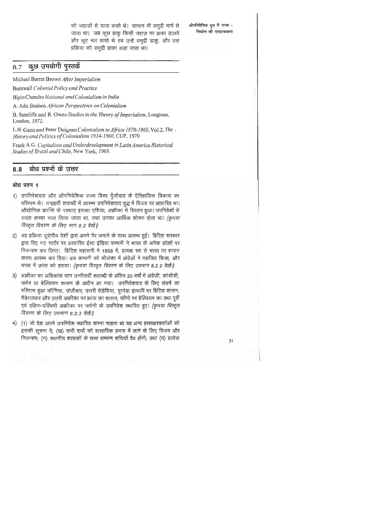को जहाज़ों से यात्रा करते थे। सामान भी समुद्री मार्ग से जाता था। जब कूछ डाकू किसी जहाज़ पर डाका डालते और लूट मार करते थे तब उन्हें समुद्री डाकू, और उस प्रक्रिया को समुद्री डाका कहा जाता था।

औपनिवेशिक युग में राज्य -निर्माण की गत्यात्मकता

#### कुछ उपयोगी पुस्तकें 8.7

Michael Barrat Brown After Imperialism

Burnwall Colonial Policy and Practice

Bipin Chandra National and Colonialism in India

A. Adu Boahen African Perspectives on Colonialism

B. Suteliffe and R. Owen Studies in the Theory of Imperialism, Longinan, London, 1972.

L.H. Gann and Peter Duignan Colonialism in Africa 1870-1960, Vol.2, The. History and Politics of Colonialism 1914-1960, CUP, 1970

Frank A.G. Capitalism and Underdevelopment in Latin America Historical Studies of Brazil and Chile, New York, 1969.

#### बोध प्रश्नों के उत्तर 8.8

### बोध प्रश्न 1

- 1) उपनिवेशवाद और औपनिवेशिक राज्य विश्व पूँजीवाद के ऐतिहासिक विकास का परिणाम थे। पन्द्रहवीं शताब्दी में आरम्भ उपनिवेशवाद युद्ध में विजय पर आधारित था। ओद्योगिक क्रान्ति के पश्चात् इसका एशिया, अफ्रीका में विस्तार हुआ। उपनिवेशों से सरता कच्चा माल लिया जाता था, तथा उनका आर्थिक शोषण होता था। *(कृपया* विस्तृत विवरण के लिए भाग 8.2 देखें।)
- 2) यह प्रक्रिया यूरोपीय देशों द्वारा अपने पैर जमाने के साथ आरम्भ हुई। ब्रिटिश सरकार द्वारा दिए गए चार्टर पर आधारित ईस्ट इंडिया कम्पनी ने भारत के अनेक प्रदेशों पर नियन्त्रण कर लिया। ब्रिटिश महारानी ने 1858 में, प्रत्यक्ष रूप से भारत पर शासन करना आरम्भ कर दिया। डच कम्पनी को श्रीलंका में अंग्रेज़ों ने पराजित किया, और भारत में फ्रांस को हराया। *(कृपया विस्तृत विवरण के लिए उपभाग 8.2.2 देखें।)*
- 3) अफ्रीका का अधिकांश भाग उन्नीसवीं शताब्दी के अंतिम 20 वर्षों में अंग्रेज़ी, फ्रांसीसी, जर्मन या बेल्जियन शासन के अधीन आ गया। उपनिवेशवाद के लिए संघर्ष का परिणाम हुआ कीनिया, ज़ज़ीबार, उत्तरी रोडेशिया, युगांडा इत्यादि पर ब्रिटिश शासन; मैड़ेगास्कर और उत्तरी अफ्रीका पर फ्रांस का शासन; कॉंगो पर बेल्जियम का तथा पूर्वी एवं दक्षिण-पश्चिमी अफ्रीका पर जर्मनी के उपनिवेश स्थापित हुए। (कृपया विस्तृत विवरण के लिए उपभाग 8.2.3 देखें।)
- 4) (1) जो देश अपने उपनिवेश स्थापित करना चाहता था वह अन्य हस्ताक्षरकर्ताओं को 'इसकी सूचना दे; (ख) सभी दावों को वास्तविक प्रभाव में लाने के लिए विजय और नियन्त्रण; (ग) स्थानीय शासकों के साथ सम्पन्न संधियाँ वैध होंगी; तथा (घ) प्रत्येक